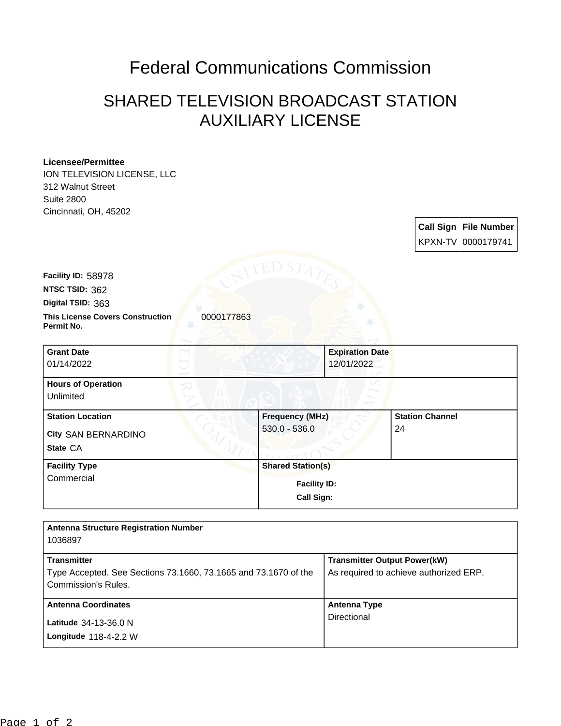## Federal Communications Commission

## SHARED TELEVISION BROADCAST STATION AUXILIARY LICENSE

## **Licensee/Permittee**

ION TELEVISION LICENSE, LLC 312 Walnut Street Suite 2800 Cincinnati, OH, 45202

**Call Sign File Number** KPXN-TV 0000179741

**This License Covers Construction**  0000177863 **Permit No. Digital TSID:** 363 **NTSC TSID:** 362 **Facility ID:** 58978 **Grant Date** 01/14/2022 **Expiration Date** 12/01/2022 **Hours of Operation** Unlimited **Station Location Frequency (MHz) Station Channel**

| City SAN BERNARDINO  | $530.0 - 536.0$          | 24 |
|----------------------|--------------------------|----|
| State CA             |                          |    |
| <b>Facility Type</b> | <b>Shared Station(s)</b> |    |
| Commercial           | <b>Facility ID:</b>      |    |
|                      | Call Sign:               |    |

| <b>Antenna Structure Registration Number</b>                    |                                        |
|-----------------------------------------------------------------|----------------------------------------|
| 1036897                                                         |                                        |
| <b>Transmitter</b>                                              | <b>Transmitter Output Power(kW)</b>    |
| Type Accepted. See Sections 73.1660, 73.1665 and 73.1670 of the | As required to achieve authorized ERP. |
| Commission's Rules.                                             |                                        |
| <b>Antenna Coordinates</b>                                      | Antenna Type                           |
| Latitude 34-13-36.0 N                                           | Directional                            |
| Longitude $118-4-2.2$ W                                         |                                        |
|                                                                 |                                        |